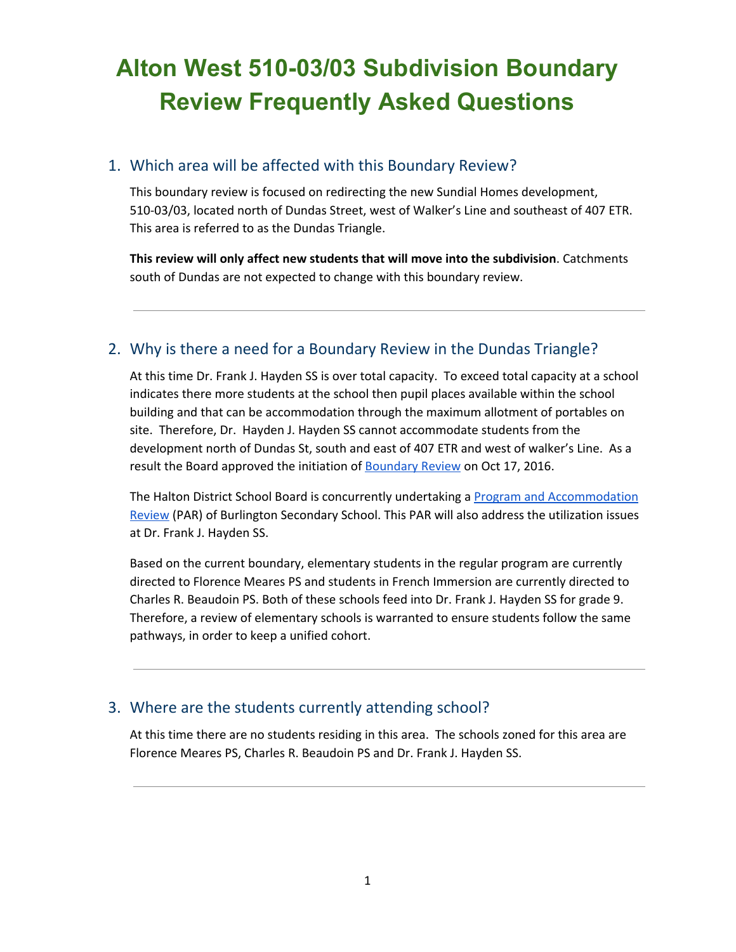## **Alton West 510-03/03 Subdivision Boundary Review Frequently Asked Questions**

### 1. Which area will be affected with this Boundary Review?

This boundary review is focused on redirecting the new Sundial Homes development, 510-03/03, located north of Dundas Street, west of Walker's Line and southeast of 407 ETR. This area is referred to as the Dundas Triangle.

**This review will only affect new students that will move into the subdivision**. Catchments south of Dundas are not expected to change with this boundary review.

## 2. Why is there a need for a Boundary Review in the Dundas Triangle?

At this time Dr. Frank J. Hayden SS is over total capacity. To exceed total capacity at a school indicates there more students at the school then pupil places available within the school building and that can be accommodation through the maximum allotment of portables on site. Therefore, Dr. Hayden J. Hayden SS cannot accommodate students from the development north of Dundas St, south and east of 407 ETR and west of walker's Line. As a result the Board approved the initiation of **Boundary Review** on Oct 17, 2016.

The Halton District School Board is concurrently undertaking a [Program and Accommodation](https://www.hdsb.ca/schools/Pages/Program%20Accommodation%20Studies/2016-Burlington-Secondary-PAR.aspx) [Review](https://www.hdsb.ca/schools/Pages/Program%20Accommodation%20Studies/2016-Burlington-Secondary-PAR.aspx) (PAR) of Burlington Secondary School. This PAR will also address the utilization issues at Dr. Frank J. Hayden SS.

Based on the current boundary, elementary students in the regular program are currently directed to Florence Meares PS and students in French Immersion are currently directed to Charles R. Beaudoin PS. Both of these schools feed into Dr. Frank J. Hayden SS for grade 9. Therefore, a review of elementary schools is warranted to ensure students follow the same pathways, in order to keep a unified cohort.

### 3. Where are the students currently attending school?

At this time there are no students residing in this area. The schools zoned for this area are Florence Meares PS, Charles R. Beaudoin PS and Dr. Frank J. Hayden SS.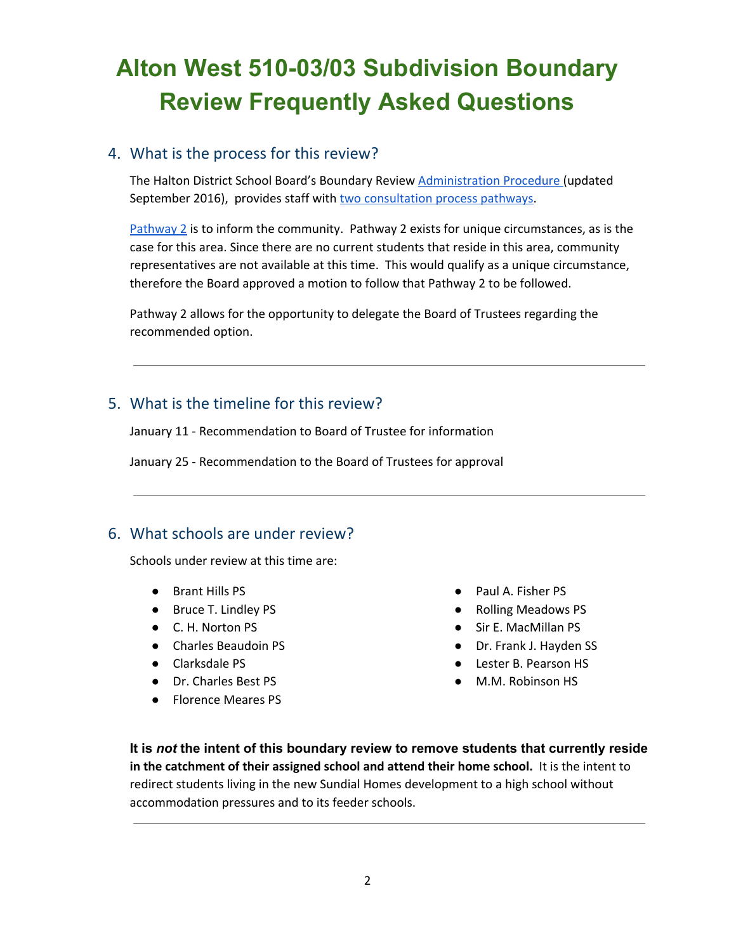# **Alton West 510-03/03 Subdivision Boundary Review Frequently Asked Questions**

### 4. What is the process for this review?

The Halton District School Board's Boundary Review [Administration Procedure \(](https://www.hdsb.ca/our-board/Policy/BoundaryReviewsSchools.pdf)updated September 2016), provides staff with [two consultation process pathways.](https://www.hdsb.ca/schools/School%20Boundary%20Reviews/2016%20Burlington%20510-0303Subd/BoundaryReviewFlowchart.pdf)

[Pathway 2](https://www.hdsb.ca/schools/School%20Boundary%20Reviews/2016%20Burlington%20510-0303Subd/BoundaryReviewFlowchart.pdf) is to inform the community. Pathway 2 exists for unique circumstances, as is the case for this area. Since there are no current students that reside in this area, community representatives are not available at this time. This would qualify as a unique circumstance, therefore the Board approved a motion to follow that Pathway 2 to be followed.

Pathway 2 allows for the opportunity to delegate the Board of Trustees regarding the recommended option.

## 5. What is the timeline for this review?

January 11 - Recommendation to Board of Trustee for information

January 25 - Recommendation to the Board of Trustees for approval

### 6. What schools are under review?

Schools under review at this time are:

- Brant Hills PS
- Bruce T. Lindley PS
- C. H. Norton PS
- Charles Beaudoin PS
- Clarksdale PS
- Dr. Charles Best PS
- Florence Meares PS
- Paul A. Fisher PS
- Rolling Meadows PS
- Sir E. MacMillan PS
- Dr. Frank J. Hayden SS
- Lester B. Pearson HS
- M.M. Robinson HS

 **It is** *not* **the intent of this boundary review to remove students that currently reside in the catchment of their assigned school and attend their home school.** It is the intent to redirect students living in the new Sundial Homes development to a high school without accommodation pressures and to its feeder schools.